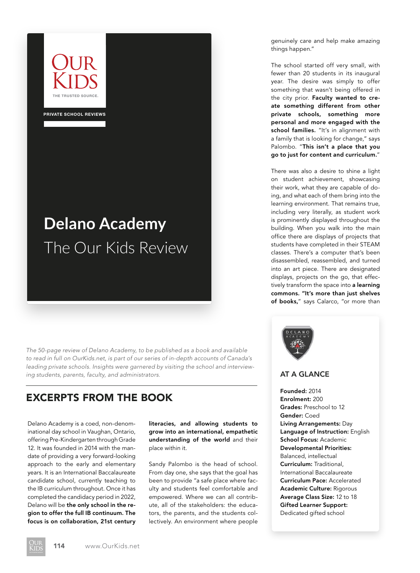

PRIVATE SCHOOL REVIEWS

# **Delano Academy**  The Our Kids Review

*The 50-page review of Delano Academy, to be published as a book and available to read in full on OurKids.net, is part of our series of in-depth accounts of Canada's leading private schools. Insights were garnered by visiting the school and interviewing students, parents, faculty, and administrators.* **AT A GLANCE** 

## EXCERPTS FROM THE BOOK

Delano Academy is a coed, non-denominational day school in Vaughan, Ontario, offering Pre-Kindergarten through Grade 12. It was founded in 2014 with the mandate of providing a very forward-looking approach to the early and elementary years. It is an International Baccalaureate candidate school, currently teaching to the IB curriculum throughout. Once it has completed the candidacy period in 2022, Delano will be the only school in the region to offer the full IB continuum. The focus is on collaboration, 21st century

literacies, and allowing students to grow into an international, empathetic understanding of the world and their place within it.

Sandy Palombo is the head of school. From day one, she says that the goal has been to provide "a safe place where faculty and students feel comfortable and empowered. Where we can all contribute, all of the stakeholders: the educators, the parents, and the students collectively. An environment where people

genuinely care and help make amazing things happen."

The school started off very small, with fewer than 20 students in its inaugural year. The desire was simply to offer something that wasn't being offered in the city prior. Faculty wanted to create something different from other private schools, something more personal and more engaged with the school families. "It's in alignment with a family that is looking for change," says Palombo. "This isn't a place that you go to just for content and curriculum."

There was also a desire to shine a light on student achievement, showcasing their work, what they are capable of doing, and what each of them bring into the learning environment. That remains true, including very literally, as student work is prominently displayed throughout the building. When you walk into the main office there are displays of projects that students have completed in their STEAM classes. There's a computer that's been disassembled, reassembled, and turned into an art piece. There are designated displays, projects on the go, that effectively transform the space into a learning commons. "It's more than just shelves of books," says Calarco, "or more than



Founded: 2014 Enrolment: 200 Grades: Preschool to 12 Gender: Coed Living Arrangements: Day Language of Instruction: English School Focus: Academic Developmental Priorities: Balanced, intellectual Curriculum: Traditional, International Baccalaureate Curriculum Pace: Accelerated Academic Culture: Rigorous Average Class Size: 12 to 18 Gifted Learner Support: Dedicated gifted school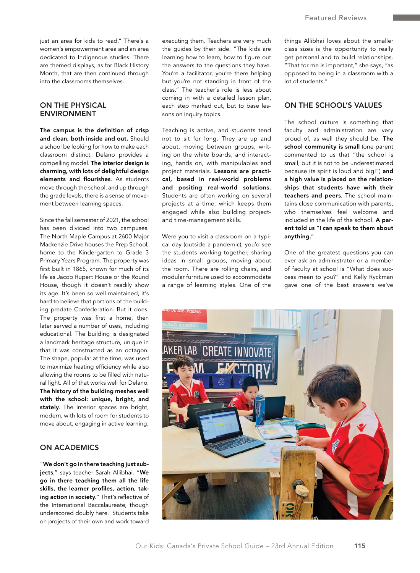just an area for kids to read." There's a women's empowerment area and an area dedicated to Indigenous studies. There are themed displays, as for Black History Month, that are then continued through into the classrooms themselves.

#### ON THE PHYSICAL ENVIRONMENT

The campus is the definition of crisp and clean, both inside and out. Should a school be looking for how to make each classroom distinct, Delano provides a compelling model. The interior design is charming, with lots of delightful design elements and flourishes. As students move through the school, and up through the grade levels, there is a sense of movement between learning spaces.

Since the fall semester of 2021, the school has been divided into two campuses. The North Maple Campus at 2600 Major Mackenzie Drive houses the Prep School, home to the Kindergarten to Grade 3 Primary Years Program. The property was first built in 1865, known for much of its life as Jacob Rupert House or the Round House, though it doesn't readily show its age. It's been so well maintained, it's hard to believe that portions of the building predate Confederation. But it does. The property was first a home, then later served a number of uses, including educational. The building is designated a landmark heritage structure, unique in that it was constructed as an octagon. The shape, popular at the time, was used to maximize heating efficiency while also allowing the rooms to be filled with natural light. All of that works well for Delano. The history of the building meshes well with the school: unique, bright, and stately. The interior spaces are bright, modern, with lots of room for students to move about, engaging in active learning.

### ON ACADEMICS

"We don't go in there teaching just subjects," says teacher Sarah Allibhai. "We go in there teaching them all the life skills, the learner profiles, action, taking action in society." That's reflective of the International Baccalaureate, though underscored doubly here. Students take on projects of their own and work toward executing them. Teachers are very much the guides by their side. "The kids are learning how to learn, how to figure out the answers to the questions they have. You're a facilitator, you're there helping but you're not standing in front of the class." The teacher's role is less about coming in with a detailed lesson plan, each step marked out, but to base lessons on inquiry topics.

Teaching is active, and students tend not to sit for long. They are up and about, moving between groups, writing on the white boards, and interacting, hands on, with manipulables and project materials. Lessons are practical, based in real-world problems and positing real-world solutions. Students are often working on several projects at a time, which keeps them engaged while also building projectand time-management skills.

Were you to visit a classroom on a typical day (outside a pandemic), you'd see the students working together, sharing ideas in small groups, moving about the room. There are rolling chairs, and modular furniture used to accommodate a range of learning styles. One of the

things Allibhai loves about the smaller class sizes is the opportunity to really get personal and to build relationships. "That for me is important," she says, "as opposed to being in a classroom with a lot of students."

#### ON THE SCHOOL'S VALUES

The school culture is something that faculty and administration are very proud of, as well they should be. The school community is small (one parent commented to us that "the school is small, but it is not to be underestimated because its spirit is loud and big!") and a high value is placed on the relationships that students have with their teachers and peers. The school maintains close communication with parents, who themselves feel welcome and included in the life of the school. A parent told us "I can speak to them about anything."

One of the greatest questions you can ever ask an administrator or a member of faculty at school is "What does success mean to you?" and Kelly Ryckman gave one of the best answers we've